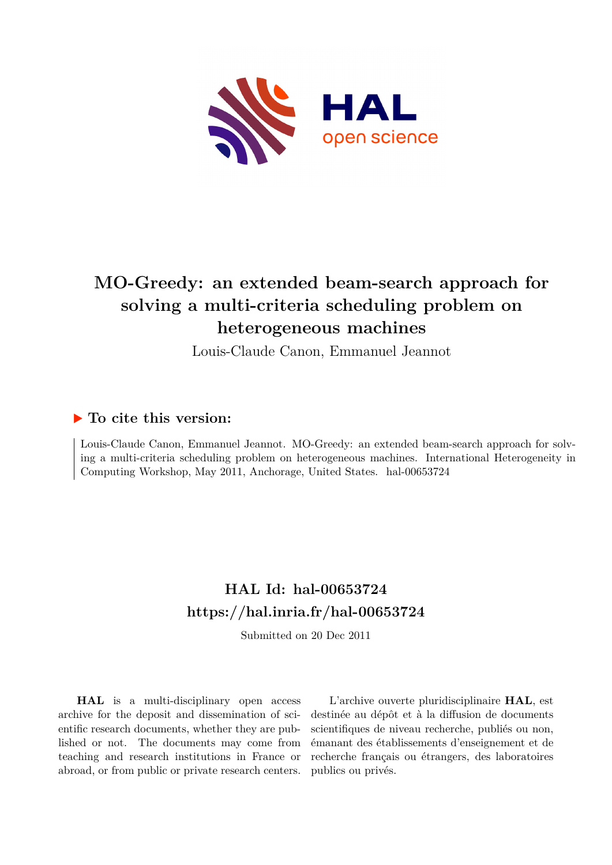

## **MO-Greedy: an extended beam-search approach for solving a multi-criteria scheduling problem on heterogeneous machines**

Louis-Claude Canon, Emmanuel Jeannot

### **To cite this version:**

Louis-Claude Canon, Emmanuel Jeannot. MO-Greedy: an extended beam-search approach for solving a multi-criteria scheduling problem on heterogeneous machines. International Heterogeneity in Computing Workshop, May 2011, Anchorage, United States. hal-00653724

## **HAL Id: hal-00653724 <https://hal.inria.fr/hal-00653724>**

Submitted on 20 Dec 2011

**HAL** is a multi-disciplinary open access archive for the deposit and dissemination of scientific research documents, whether they are published or not. The documents may come from teaching and research institutions in France or abroad, or from public or private research centers.

L'archive ouverte pluridisciplinaire **HAL**, est destinée au dépôt et à la diffusion de documents scientifiques de niveau recherche, publiés ou non, émanant des établissements d'enseignement et de recherche français ou étrangers, des laboratoires publics ou privés.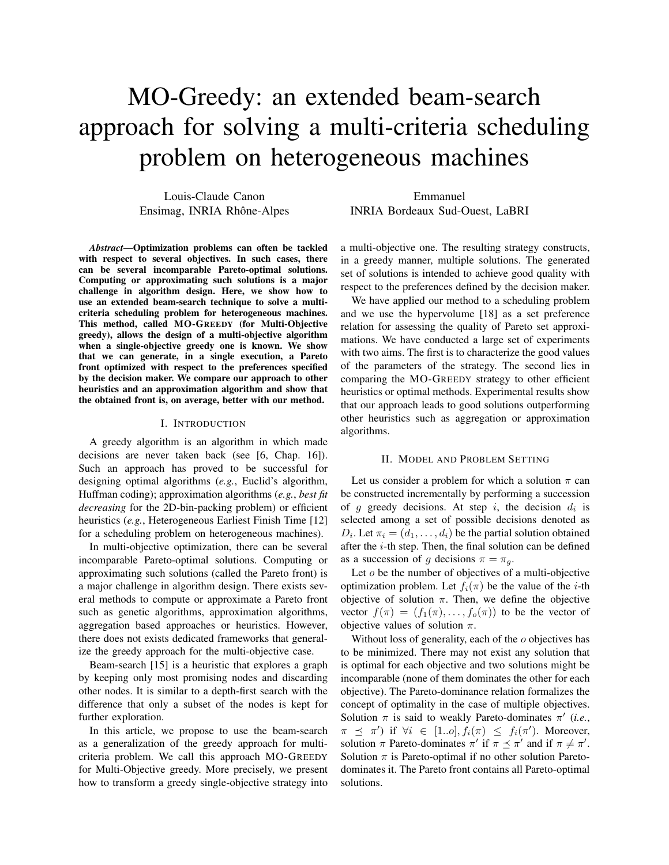# MO-Greedy: an extended beam-search approach for solving a multi-criteria scheduling problem on heterogeneous machines

Louis-Claude Canon Ensimag, INRIA Rhône-Alpes

Emmanuel INRIA Bordeaux Sud-Ouest, LaBRI

*Abstract*—Optimization problems can often be tackled with respect to several objectives. In such cases, there can be several incomparable Pareto-optimal solutions. Computing or approximating such solutions is a major challenge in algorithm design. Here, we show how to use an extended beam-search technique to solve a multicriteria scheduling problem for heterogeneous machines. This method, called MO-GREEDY (for Multi-Objective greedy), allows the design of a multi-objective algorithm when a single-objective greedy one is known. We show that we can generate, in a single execution, a Pareto front optimized with respect to the preferences specified by the decision maker. We compare our approach to other heuristics and an approximation algorithm and show that the obtained front is, on average, better with our method.

#### I. INTRODUCTION

A greedy algorithm is an algorithm in which made decisions are never taken back (see [6, Chap. 16]). Such an approach has proved to be successful for designing optimal algorithms (*e.g.*, Euclid's algorithm, Huffman coding); approximation algorithms (*e.g.*, *best fit decreasing* for the 2D-bin-packing problem) or efficient heuristics (*e.g.*, Heterogeneous Earliest Finish Time [12] for a scheduling problem on heterogeneous machines).

In multi-objective optimization, there can be several incomparable Pareto-optimal solutions. Computing or approximating such solutions (called the Pareto front) is a major challenge in algorithm design. There exists several methods to compute or approximate a Pareto front such as genetic algorithms, approximation algorithms, aggregation based approaches or heuristics. However, there does not exists dedicated frameworks that generalize the greedy approach for the multi-objective case.

Beam-search [15] is a heuristic that explores a graph by keeping only most promising nodes and discarding other nodes. It is similar to a depth-first search with the difference that only a subset of the nodes is kept for further exploration.

In this article, we propose to use the beam-search as a generalization of the greedy approach for multicriteria problem. We call this approach MO-GREEDY for Multi-Objective greedy. More precisely, we present how to transform a greedy single-objective strategy into a multi-objective one. The resulting strategy constructs, in a greedy manner, multiple solutions. The generated set of solutions is intended to achieve good quality with respect to the preferences defined by the decision maker.

We have applied our method to a scheduling problem and we use the hypervolume [18] as a set preference relation for assessing the quality of Pareto set approximations. We have conducted a large set of experiments with two aims. The first is to characterize the good values of the parameters of the strategy. The second lies in comparing the MO-GREEDY strategy to other efficient heuristics or optimal methods. Experimental results show that our approach leads to good solutions outperforming other heuristics such as aggregation or approximation algorithms.

#### II. MODEL AND PROBLEM SETTING

Let us consider a problem for which a solution  $\pi$  can be constructed incrementally by performing a succession of g greedy decisions. At step i, the decision  $d_i$  is selected among a set of possible decisions denoted as  $D_i$ . Let  $\pi_i = (d_1, \ldots, d_i)$  be the partial solution obtained after the *i*-th step. Then, the final solution can be defined as a succession of g decisions  $\pi = \pi_g$ .

Let *o* be the number of objectives of a multi-objective optimization problem. Let  $f_i(\pi)$  be the value of the *i*-th objective of solution  $\pi$ . Then, we define the objective vector  $f(\pi) = (f_1(\pi), \ldots, f_o(\pi))$  to be the vector of objective values of solution  $\pi$ .

Without loss of generality, each of the  $o$  objectives has to be minimized. There may not exist any solution that is optimal for each objective and two solutions might be incomparable (none of them dominates the other for each objective). The Pareto-dominance relation formalizes the concept of optimality in the case of multiple objectives. Solution  $\pi$  is said to weakly Pareto-dominates  $\pi'$  (*i.e.*,  $\pi \preceq \pi'$ ) if  $\forall i \in [1..o], f_i(\pi) \preceq f_i(\pi')$ . Moreover, solution  $\pi$  Pareto-dominates  $\pi'$  if  $\pi \preceq \pi'$  and if  $\pi \neq \pi'$ . Solution  $\pi$  is Pareto-optimal if no other solution Paretodominates it. The Pareto front contains all Pareto-optimal solutions.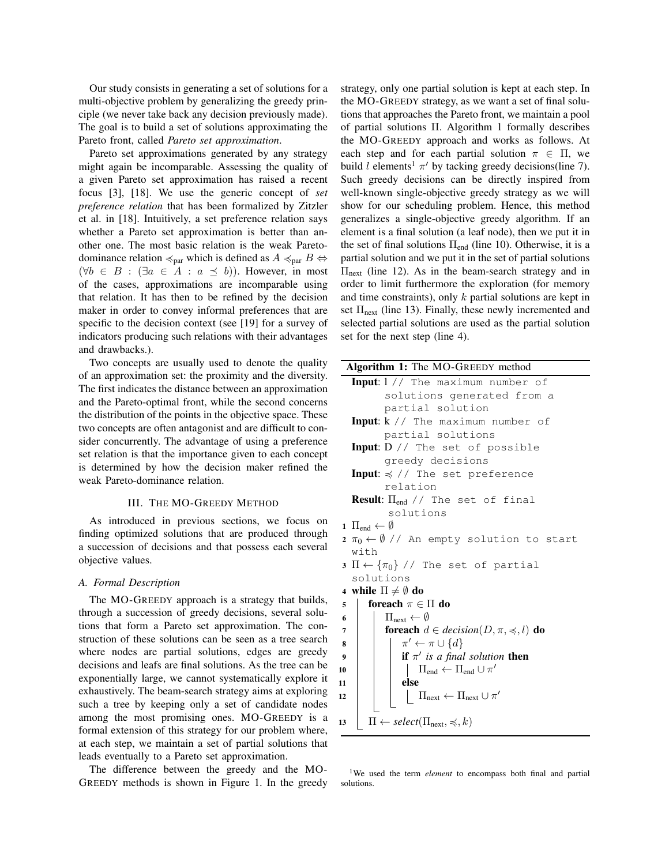Our study consists in generating a set of solutions for a multi-objective problem by generalizing the greedy principle (we never take back any decision previously made). The goal is to build a set of solutions approximating the Pareto front, called *Pareto set approximation*.

Pareto set approximations generated by any strategy might again be incomparable. Assessing the quality of a given Pareto set approximation has raised a recent focus [3], [18]. We use the generic concept of *set preference relation* that has been formalized by Zitzler et al. in [18]. Intuitively, a set preference relation says whether a Pareto set approximation is better than another one. The most basic relation is the weak Paretodominance relation  $\preccurlyeq_{\text{par}}$  which is defined as  $A \preccurlyeq_{\text{par}} B \Leftrightarrow$  $(\forall b \in B : (\exists a \in A : a \preceq b))$ . However, in most of the cases, approximations are incomparable using that relation. It has then to be refined by the decision maker in order to convey informal preferences that are specific to the decision context (see [19] for a survey of indicators producing such relations with their advantages and drawbacks.).

Two concepts are usually used to denote the quality of an approximation set: the proximity and the diversity. The first indicates the distance between an approximation and the Pareto-optimal front, while the second concerns the distribution of the points in the objective space. These two concepts are often antagonist and are difficult to consider concurrently. The advantage of using a preference set relation is that the importance given to each concept is determined by how the decision maker refined the weak Pareto-dominance relation.

#### III. THE MO-GREEDY METHOD

As introduced in previous sections, we focus on finding optimized solutions that are produced through a succession of decisions and that possess each several objective values.

#### *A. Formal Description*

The MO-GREEDY approach is a strategy that builds, through a succession of greedy decisions, several solutions that form a Pareto set approximation. The construction of these solutions can be seen as a tree search where nodes are partial solutions, edges are greedy decisions and leafs are final solutions. As the tree can be exponentially large, we cannot systematically explore it exhaustively. The beam-search strategy aims at exploring such a tree by keeping only a set of candidate nodes among the most promising ones. MO-GREEDY is a formal extension of this strategy for our problem where, at each step, we maintain a set of partial solutions that leads eventually to a Pareto set approximation.

The difference between the greedy and the MO-GREEDY methods is shown in Figure 1. In the greedy strategy, only one partial solution is kept at each step. In the MO-GREEDY strategy, as we want a set of final solutions that approaches the Pareto front, we maintain a pool of partial solutions Π. Algorithm 1 formally describes the MO-GREEDY approach and works as follows. At each step and for each partial solution  $\pi \in \Pi$ , we build l elements<sup>1</sup>  $\pi'$  by tacking greedy decisions(line 7). Such greedy decisions can be directly inspired from well-known single-objective greedy strategy as we will show for our scheduling problem. Hence, this method generalizes a single-objective greedy algorithm. If an element is a final solution (a leaf node), then we put it in the set of final solutions  $\Pi_{end}$  (line 10). Otherwise, it is a partial solution and we put it in the set of partial solutions  $\Pi_{\text{next}}$  (line 12). As in the beam-search strategy and in order to limit furthermore the exploration (for memory and time constraints), only  $k$  partial solutions are kept in set  $\Pi_{\text{next}}$  (line 13). Finally, these newly incremented and selected partial solutions are used as the partial solution set for the next step (line 4).

| Algorithm 1: The MO-GREEDY method                                            |
|------------------------------------------------------------------------------|
| Input: 1 // The maximum number of                                            |
| solutions generated from a                                                   |
| partial solution                                                             |
| <b>Input:</b> $k$ // The maximum number of                                   |
| partial solutions                                                            |
| <b>Input:</b> D // The set of possible                                       |
| greedy decisions                                                             |
| <b>Input:</b> $\leq$ // The set preference                                   |
| relation                                                                     |
| <b>Result:</b> $\Pi_{end}$ // The set of final                               |
| solutions                                                                    |
| 1 $\Pi_{end} \leftarrow \emptyset$                                           |
| $2 \pi_0 \leftarrow \emptyset$ // An empty solution to start                 |
| with                                                                         |
| $3 \Pi \leftarrow {\lbrace \pi_0 \rbrace}/7$ The set of partial              |
| solutions                                                                    |
| 4 while $\Pi \neq \emptyset$ do                                              |
| foreach $\pi \in \Pi$ do<br>5                                                |
| $\Pi_{\text{next}} \leftarrow \emptyset$<br>6                                |
| <b>foreach</b> $d \in decision(D, \pi, \leq, l)$ <b>do</b><br>$\overline{7}$ |
| $\pi' \leftarrow \pi \cup \{d\}$<br>8                                        |
| if $\pi'$ is a final solution then<br>9                                      |
| $\Box$ $\Pi_{end} \leftarrow \Pi_{end} \cup \pi'$<br>10                      |
| else<br>11                                                                   |
| $\mid \Pi_{\text{next}} \leftarrow \Pi_{\text{next}} \cup \pi'$<br>12        |
|                                                                              |
| $\Pi \leftarrow select(\Pi_{\text{next}}, \preccurlyeq, k)$<br>13            |
|                                                                              |

<sup>1</sup>We used the term *element* to encompass both final and partial solutions.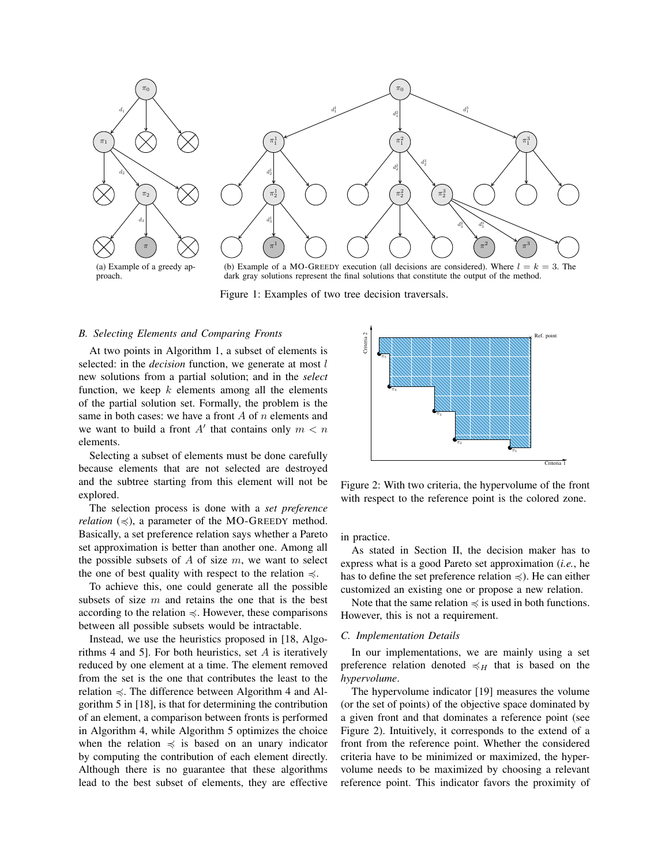

(a) Example of a greedy approach.

(b) Example of a MO-GREEDY execution (all decisions are considered). Where  $l = k = 3$ . The dark gray solutions represent the final solutions that constitute the output of the method.

Figure 1: Examples of two tree decision traversals.

#### *B. Selecting Elements and Comparing Fronts*

At two points in Algorithm 1, a subset of elements is selected: in the *decision* function, we generate at most l new solutions from a partial solution; and in the *select* function, we keep  $k$  elements among all the elements of the partial solution set. Formally, the problem is the same in both cases: we have a front  $A$  of  $n$  elements and we want to build a front  $A'$  that contains only  $m < n$ elements.

Selecting a subset of elements must be done carefully because elements that are not selected are destroyed and the subtree starting from this element will not be explored.

The selection process is done with a *set preference relation*  $(\leq)$ , a parameter of the MO-GREEDY method. Basically, a set preference relation says whether a Pareto set approximation is better than another one. Among all the possible subsets of  $A$  of size  $m$ , we want to select the one of best quality with respect to the relation  $\preccurlyeq$ .

To achieve this, one could generate all the possible subsets of size  $m$  and retains the one that is the best according to the relation  $\leq$ . However, these comparisons between all possible subsets would be intractable.

Instead, we use the heuristics proposed in [18, Algorithms 4 and 5]. For both heuristics, set  $A$  is iteratively reduced by one element at a time. The element removed from the set is the one that contributes the least to the relation  $\leq$ . The difference between Algorithm 4 and Algorithm 5 in [18], is that for determining the contribution of an element, a comparison between fronts is performed in Algorithm 4, while Algorithm 5 optimizes the choice when the relation  $\preccurlyeq$  is based on an unary indicator by computing the contribution of each element directly. Although there is no guarantee that these algorithms lead to the best subset of elements, they are effective



Figure 2: With two criteria, the hypervolume of the front with respect to the reference point is the colored zone.

in practice.

As stated in Section II, the decision maker has to express what is a good Pareto set approximation (*i.e.*, he has to define the set preference relation  $\preccurlyeq$ ). He can either customized an existing one or propose a new relation.

Note that the same relation  $\preccurlyeq$  is used in both functions. However, this is not a requirement.

#### *C. Implementation Details*

In our implementations, we are mainly using a set preference relation denoted  $\preccurlyeq_H$  that is based on the *hypervolume*.

The hypervolume indicator [19] measures the volume (or the set of points) of the objective space dominated by a given front and that dominates a reference point (see Figure 2). Intuitively, it corresponds to the extend of a front from the reference point. Whether the considered criteria have to be minimized or maximized, the hypervolume needs to be maximized by choosing a relevant reference point. This indicator favors the proximity of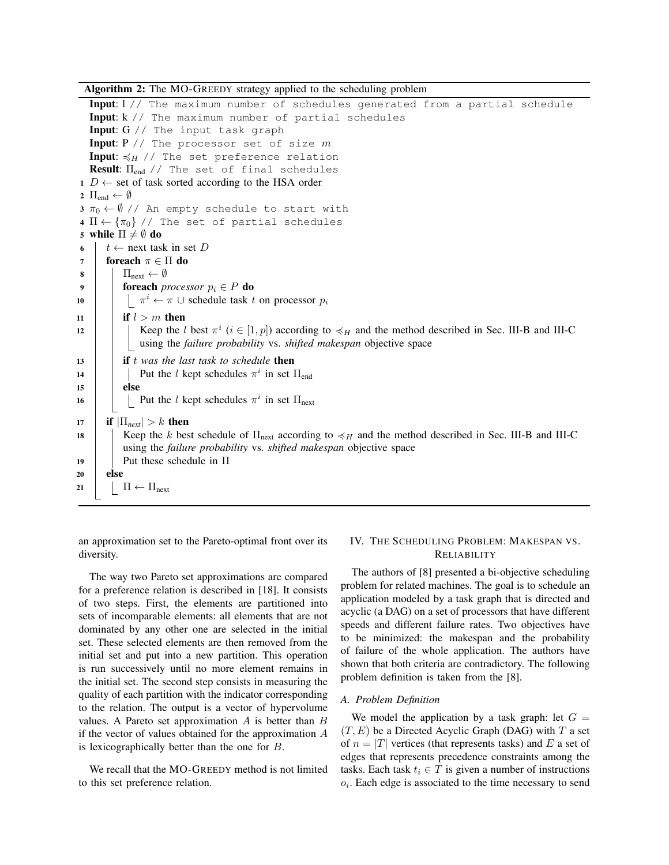Algorithm 2: The MO-GREEDY strategy applied to the scheduling problem

Input: l // The maximum number of schedules generated from a partial schedule Input: k // The maximum number of partial schedules Input: G // The input task graph Input:  $P$  // The processor set of size  $m$ Input:  $\preccurlyeq_H$  // The set preference relation **Result:**  $\Pi_{end}$  // The set of final schedules  $1 D \leftarrow$  set of task sorted according to the HSA order 2  $\Pi_{end} \leftarrow \emptyset$  $3 \pi_0 \leftarrow \emptyset$  // An empty schedule to start with 4  $\Pi \leftarrow {\lbrace \pi_0 \rbrace}/7$  The set of partial schedules 5 while  $\Pi \neq \emptyset$  do 6  $t \leftarrow$  next task in set D 7 **foreach**  $\pi \in \Pi$  do  $8$  |  $\Pi_{\text{next}} \leftarrow \emptyset$ 9 **foreach** *processor*  $p_i \in P$  **do** 10  $\begin{array}{c|c} \hline \end{array}$   $\begin{array}{c} \pi^i \leftarrow \pi \cup \text{ schedule task } t \text{ on processor } p_i \end{array}$ 11 **if**  $l > m$  then 12  $\parallel$  Keep the l best  $\pi^i$  ( $i \in [1, p]$ ) according to  $\preccurlyeq_H$  and the method described in Sec. III-B and III-C using the *failure probability* vs. *shifted makespan* objective space <sup>13</sup> if t *was the last task to schedule* then 14 | | Put the l kept schedules  $\pi^{i}$  in set  $\Pi_{end}$  $15$  else 16 | | Put the l kept schedules  $\pi^{i}$  in set  $\Pi_{\text{next}}$ 17 **if**  $|\Pi_{next}| > k$  then 18 Keep the k best schedule of  $\Pi_{\text{next}}$  according to  $\preccurlyeq_H$  and the method described in Sec. III-B and III-C using the *failure probability* vs. *shifted makespan* objective space 19 Put these schedule in  $\Pi$ <sup>20</sup> else 21  $\Pi \leftarrow \Pi_{next}$ 

an approximation set to the Pareto-optimal front over its diversity.

The way two Pareto set approximations are compared for a preference relation is described in [18]. It consists of two steps. First, the elements are partitioned into sets of incomparable elements: all elements that are not dominated by any other one are selected in the initial set. These selected elements are then removed from the initial set and put into a new partition. This operation is run successively until no more element remains in the initial set. The second step consists in measuring the quality of each partition with the indicator corresponding to the relation. The output is a vector of hypervolume values. A Pareto set approximation  $A$  is better than  $B$ if the vector of values obtained for the approximation A is lexicographically better than the one for B.

We recall that the MO-GREEDY method is not limited to this set preference relation.

#### IV. THE SCHEDULING PROBLEM: MAKESPAN VS. RELIABILITY

The authors of [8] presented a bi-objective scheduling problem for related machines. The goal is to schedule an application modeled by a task graph that is directed and acyclic (a DAG) on a set of processors that have different speeds and different failure rates. Two objectives have to be minimized: the makespan and the probability of failure of the whole application. The authors have shown that both criteria are contradictory. The following problem definition is taken from the [8].

#### *A. Problem Definition*

We model the application by a task graph: let  $G =$  $(T, E)$  be a Directed Acyclic Graph (DAG) with T a set of  $n = |T|$  vertices (that represents tasks) and E a set of edges that represents precedence constraints among the tasks. Each task  $t_i \in T$  is given a number of instructions  $o_i$ . Each edge is associated to the time necessary to send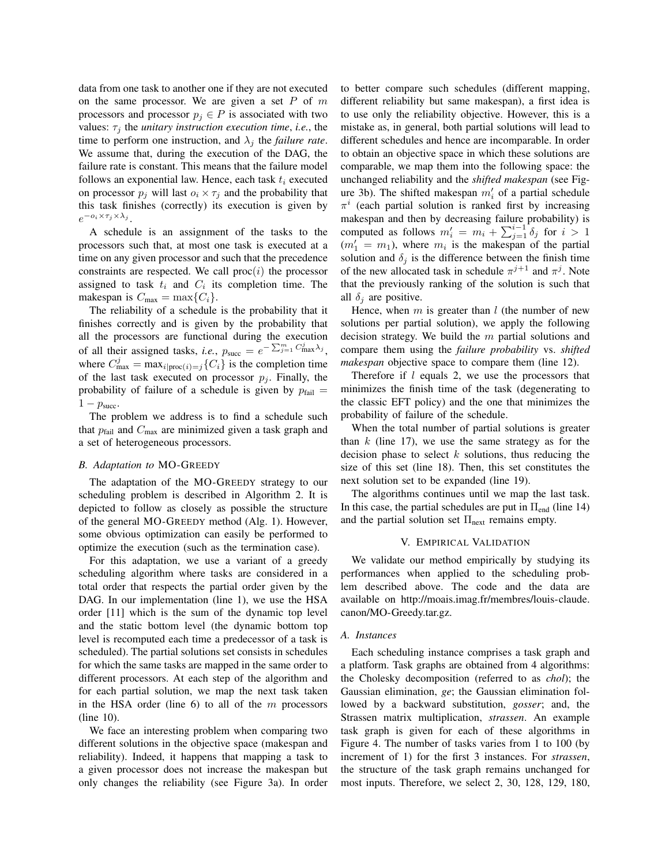data from one task to another one if they are not executed on the same processor. We are given a set  $P$  of  $m$ processors and processor  $p_j \in P$  is associated with two values:  $\tau_i$  the *unitary instruction execution time*, *i.e.*, the time to perform one instruction, and  $\lambda_i$  the *failure rate*. We assume that, during the execution of the DAG, the failure rate is constant. This means that the failure model follows an exponential law. Hence, each task  $t_i$  executed on processor  $p_i$  will last  $o_i \times \tau_i$  and the probability that this task finishes (correctly) its execution is given by  $e^{-\mathbf{o}_i \times \tau_j \times \lambda_j}$ .

A schedule is an assignment of the tasks to the processors such that, at most one task is executed at a time on any given processor and such that the precedence constraints are respected. We call  $proc(i)$  the processor assigned to task  $t_i$  and  $C_i$  its completion time. The makespan is  $C_{\text{max}} = \max\{C_i\}.$ 

The reliability of a schedule is the probability that it finishes correctly and is given by the probability that all the processors are functional during the execution of all their assigned tasks, *i.e.*,  $p_{succ} = e^{-\sum_{j=1}^{m} C_{\text{max}}^j \lambda_j}$ , where  $C_{\text{max}}^j = \max_{i | \text{proc}(i) = j} \{ C_i \}$  is the completion time of the last task executed on processor  $p_j$ . Finally, the probability of failure of a schedule is given by  $p_{fail}$  =  $1 - p<sub>succ</sub>$ .

The problem we address is to find a schedule such that  $p_{\text{fail}}$  and  $C_{\text{max}}$  are minimized given a task graph and a set of heterogeneous processors.

#### *B. Adaptation to* MO-GREEDY

The adaptation of the MO-GREEDY strategy to our scheduling problem is described in Algorithm 2. It is depicted to follow as closely as possible the structure of the general MO-GREEDY method (Alg. 1). However, some obvious optimization can easily be performed to optimize the execution (such as the termination case).

For this adaptation, we use a variant of a greedy scheduling algorithm where tasks are considered in a total order that respects the partial order given by the DAG. In our implementation (line 1), we use the HSA order [11] which is the sum of the dynamic top level and the static bottom level (the dynamic bottom top level is recomputed each time a predecessor of a task is scheduled). The partial solutions set consists in schedules for which the same tasks are mapped in the same order to different processors. At each step of the algorithm and for each partial solution, we map the next task taken in the HSA order (line  $6$ ) to all of the m processors (line 10).

We face an interesting problem when comparing two different solutions in the objective space (makespan and reliability). Indeed, it happens that mapping a task to a given processor does not increase the makespan but only changes the reliability (see Figure 3a). In order to better compare such schedules (different mapping, different reliability but same makespan), a first idea is to use only the reliability objective. However, this is a mistake as, in general, both partial solutions will lead to different schedules and hence are incomparable. In order to obtain an objective space in which these solutions are comparable, we map them into the following space: the unchanged reliability and the *shifted makespan* (see Figure 3b). The shifted makespan  $m'_i$  of a partial schedule  $\pi^{i}$  (each partial solution is ranked first by increasing makespan and then by decreasing failure probability) is computed as follows  $m'_i = m_i + \sum_{j=1}^{i-1} \delta_j$  for  $i > 1$  $(m'_1 = m_1)$ , where  $m_i$  is the makespan of the partial solution and  $\delta_j$  is the difference between the finish time of the new allocated task in schedule  $\pi^{j+1}$  and  $\pi^j$ . Note that the previously ranking of the solution is such that all  $\delta_i$  are positive.

Hence, when  $m$  is greater than  $l$  (the number of new solutions per partial solution), we apply the following decision strategy. We build the  $m$  partial solutions and compare them using the *failure probability* vs. *shifted makespan* objective space to compare them (line 12).

Therefore if  $l$  equals 2, we use the processors that minimizes the finish time of the task (degenerating to the classic EFT policy) and the one that minimizes the probability of failure of the schedule.

When the total number of partial solutions is greater than  $k$  (line 17), we use the same strategy as for the decision phase to select  $k$  solutions, thus reducing the size of this set (line 18). Then, this set constitutes the next solution set to be expanded (line 19).

The algorithms continues until we map the last task. In this case, the partial schedules are put in  $\Pi_{end}$  (line 14) and the partial solution set  $\Pi_{\text{next}}$  remains empty.

#### V. EMPIRICAL VALIDATION

We validate our method empirically by studying its performances when applied to the scheduling problem described above. The code and the data are available on http://moais.imag.fr/membres/louis-claude. canon/MO-Greedy.tar.gz.

#### *A. Instances*

Each scheduling instance comprises a task graph and a platform. Task graphs are obtained from 4 algorithms: the Cholesky decomposition (referred to as *chol*); the Gaussian elimination, *ge*; the Gaussian elimination followed by a backward substitution, *gosser*; and, the Strassen matrix multiplication, *strassen*. An example task graph is given for each of these algorithms in Figure 4. The number of tasks varies from 1 to 100 (by increment of 1) for the first 3 instances. For *strassen*, the structure of the task graph remains unchanged for most inputs. Therefore, we select 2, 30, 128, 129, 180,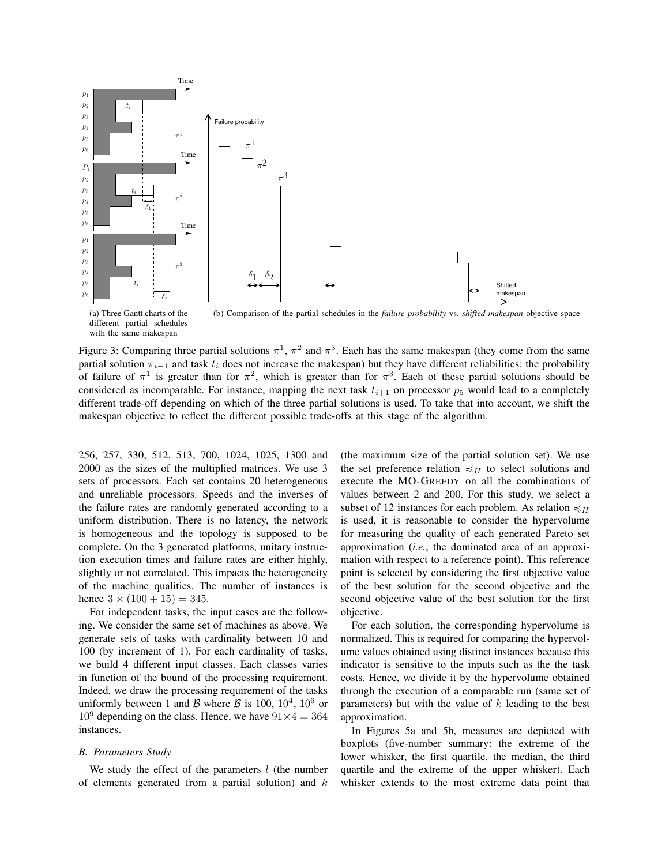

(a) Three Gantt charts of the different partial schedules with the same makespan

(b) Comparison of the partial schedules in the *failure probability* vs. *shifted makespan* objective space

Figure 3: Comparing three partial solutions  $\pi^1$ ,  $\pi^2$  and  $\pi^3$ . Each has the same makespan (they come from the same partial solution  $\pi_{i-1}$  and task  $t_i$  does not increase the makespan) but they have different reliabilities: the probability of failure of  $\pi^1$  is greater than for  $\pi^2$ , which is greater than for  $\pi^3$ . Each of these partial solutions should be considered as incomparable. For instance, mapping the next task  $t_{i+1}$  on processor  $p_5$  would lead to a completely different trade-off depending on which of the three partial solutions is used. To take that into account, we shift the makespan objective to reflect the different possible trade-offs at this stage of the algorithm.

256, 257, 330, 512, 513, 700, 1024, 1025, 1300 and 2000 as the sizes of the multiplied matrices. We use 3 sets of processors. Each set contains 20 heterogeneous and unreliable processors. Speeds and the inverses of the failure rates are randomly generated according to a uniform distribution. There is no latency, the network is homogeneous and the topology is supposed to be complete. On the 3 generated platforms, unitary instruction execution times and failure rates are either highly, slightly or not correlated. This impacts the heterogeneity of the machine qualities. The number of instances is hence  $3 \times (100 + 15) = 345$ .

For independent tasks, the input cases are the following. We consider the same set of machines as above. We generate sets of tasks with cardinality between 10 and 100 (by increment of 1). For each cardinality of tasks, we build 4 different input classes. Each classes varies in function of the bound of the processing requirement. Indeed, we draw the processing requirement of the tasks uniformly between 1 and B where B is 100,  $10^4$ ,  $10^6$  or  $10^9$  depending on the class. Hence, we have  $91 \times 4 = 364$ instances.

#### *B. Parameters Study*

We study the effect of the parameters  $l$  (the number of elements generated from a partial solution) and  $k$  (the maximum size of the partial solution set). We use the set preference relation  $\preccurlyeq_H$  to select solutions and execute the MO-GREEDY on all the combinations of values between 2 and 200. For this study, we select a subset of 12 instances for each problem. As relation  $\preccurlyeq_H$ is used, it is reasonable to consider the hypervolume for measuring the quality of each generated Pareto set approximation (*i.e.*, the dominated area of an approximation with respect to a reference point). This reference point is selected by considering the first objective value of the best solution for the second objective and the second objective value of the best solution for the first objective.

For each solution, the corresponding hypervolume is normalized. This is required for comparing the hypervolume values obtained using distinct instances because this indicator is sensitive to the inputs such as the the task costs. Hence, we divide it by the hypervolume obtained through the execution of a comparable run (same set of parameters) but with the value of  $k$  leading to the best approximation.

In Figures 5a and 5b, measures are depicted with boxplots (five-number summary: the extreme of the lower whisker, the first quartile, the median, the third quartile and the extreme of the upper whisker). Each whisker extends to the most extreme data point that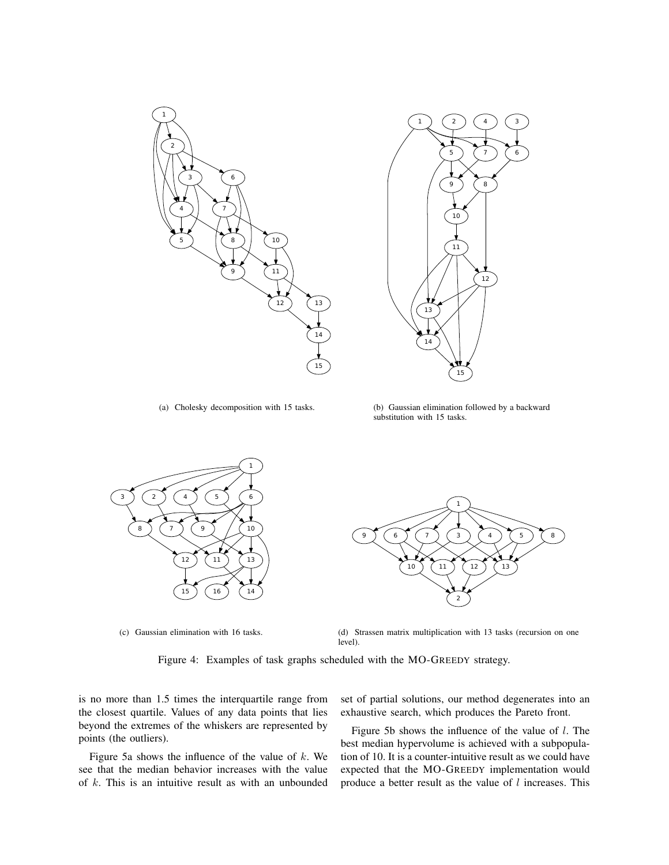



(a) Cholesky decomposition with 15 tasks.

(b) Gaussian elimination followed by a backward substitution with 15 tasks.



(c) Gaussian elimination with 16 tasks.



(d) Strassen matrix multiplication with 13 tasks (recursion on one level).

Figure 4: Examples of task graphs scheduled with the MO-GREEDY strategy.

is no more than 1.5 times the interquartile range from the closest quartile. Values of any data points that lies beyond the extremes of the whiskers are represented by points (the outliers).

Figure 5a shows the influence of the value of  $k$ . We see that the median behavior increases with the value of  $k$ . This is an intuitive result as with an unbounded set of partial solutions, our method degenerates into an exhaustive search, which produces the Pareto front.

Figure 5b shows the influence of the value of  $l$ . The best median hypervolume is achieved with a subpopulation of 10. It is a counter-intuitive result as we could have expected that the MO-GREEDY implementation would produce a better result as the value of  $l$  increases. This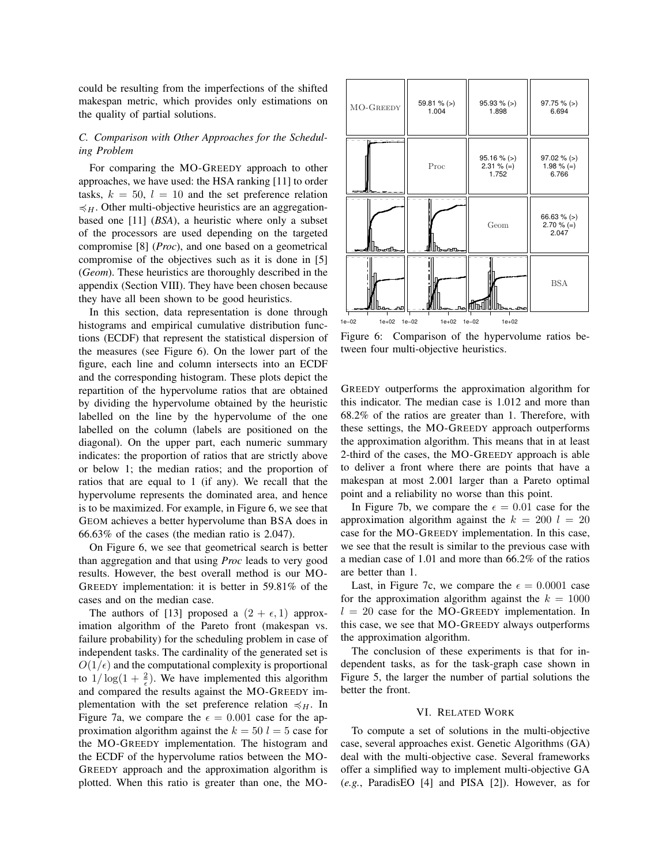could be resulting from the imperfections of the shifted makespan metric, which provides only estimations on the quality of partial solutions.

#### *C. Comparison with Other Approaches for the Scheduling Problem*

For comparing the MO-GREEDY approach to other approaches, we have used: the HSA ranking [11] to order tasks,  $k = 50$ ,  $l = 10$  and the set preference relation  $\preccurlyeq_H$ . Other multi-objective heuristics are an aggregationbased one [11] (*BSA*), a heuristic where only a subset of the processors are used depending on the targeted compromise [8] (*Proc*), and one based on a geometrical compromise of the objectives such as it is done in [5] (*Geom*). These heuristics are thoroughly described in the appendix (Section VIII). They have been chosen because they have all been shown to be good heuristics.

In this section, data representation is done through histograms and empirical cumulative distribution functions (ECDF) that represent the statistical dispersion of the measures (see Figure 6). On the lower part of the figure, each line and column intersects into an ECDF and the corresponding histogram. These plots depict the repartition of the hypervolume ratios that are obtained by dividing the hypervolume obtained by the heuristic labelled on the line by the hypervolume of the one labelled on the column (labels are positioned on the diagonal). On the upper part, each numeric summary indicates: the proportion of ratios that are strictly above or below 1; the median ratios; and the proportion of ratios that are equal to 1 (if any). We recall that the hypervolume represents the dominated area, and hence is to be maximized. For example, in Figure 6, we see that GEOM achieves a better hypervolume than BSA does in 66.63% of the cases (the median ratio is 2.047).

On Figure 6, we see that geometrical search is better than aggregation and that using *Proc* leads to very good results. However, the best overall method is our MO-GREEDY implementation: it is better in 59.81% of the cases and on the median case.

The authors of [13] proposed a  $(2 + \epsilon, 1)$  approximation algorithm of the Pareto front (makespan vs. failure probability) for the scheduling problem in case of independent tasks. The cardinality of the generated set is  $O(1/\epsilon)$  and the computational complexity is proportional to  $1/\log(1+\frac{2}{\epsilon})$ . We have implemented this algorithm and compared the results against the MO-GREEDY implementation with the set preference relation  $\preccurlyeq_H$ . In Figure 7a, we compare the  $\epsilon = 0.001$  case for the approximation algorithm against the  $k = 50$   $l = 5$  case for the MO-GREEDY implementation. The histogram and the ECDF of the hypervolume ratios between the MO-GREEDY approach and the approximation algorithm is plotted. When this ratio is greater than one, the MO-



Figure 6: Comparison of the hypervolume ratios between four multi-objective heuristics.

GREEDY outperforms the approximation algorithm for this indicator. The median case is 1.012 and more than 68.2% of the ratios are greater than 1. Therefore, with these settings, the MO-GREEDY approach outperforms the approximation algorithm. This means that in at least 2-third of the cases, the MO-GREEDY approach is able to deliver a front where there are points that have a makespan at most 2.001 larger than a Pareto optimal point and a reliability no worse than this point.

In Figure 7b, we compare the  $\epsilon = 0.01$  case for the approximation algorithm against the  $k = 200$   $l = 20$ case for the MO-GREEDY implementation. In this case, we see that the result is similar to the previous case with a median case of 1.01 and more than 66.2% of the ratios are better than 1.

Last, in Figure 7c, we compare the  $\epsilon = 0.0001$  case for the approximation algorithm against the  $k = 1000$  $l = 20$  case for the MO-GREEDY implementation. In this case, we see that MO-GREEDY always outperforms the approximation algorithm.

The conclusion of these experiments is that for independent tasks, as for the task-graph case shown in Figure 5, the larger the number of partial solutions the better the front.

#### VI. RELATED WORK

To compute a set of solutions in the multi-objective case, several approaches exist. Genetic Algorithms (GA) deal with the multi-objective case. Several frameworks offer a simplified way to implement multi-objective GA (*e.g.*, ParadisEO [4] and PISA [2]). However, as for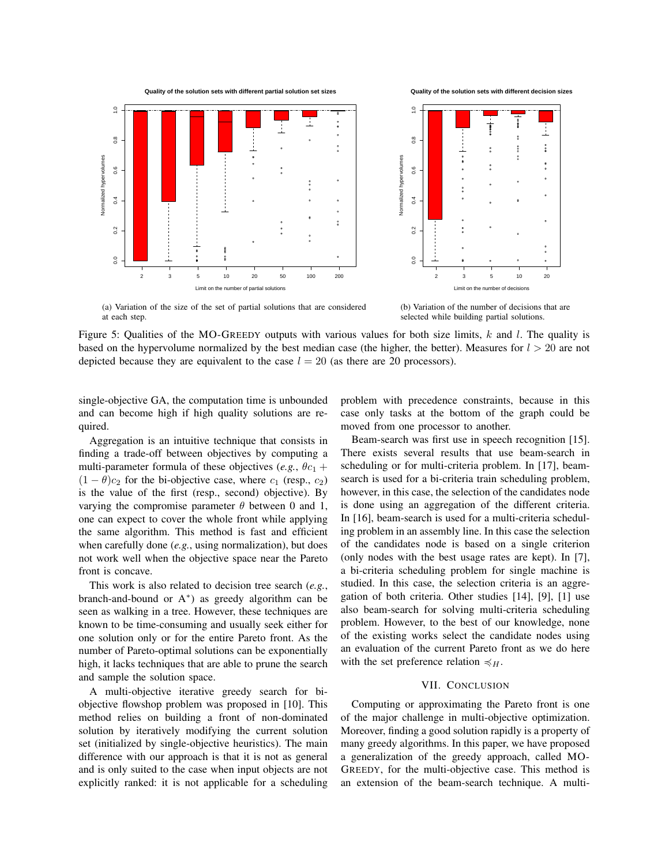

**Quality of the solution sets with different partial solution set sizes**





(a) Variation of the size of the set of partial solutions that are considered at each step.

(b) Variation of the number of decisions that are selected while building partial solutions.

Figure 5: Qualities of the MO-GREEDY outputs with various values for both size limits,  $k$  and  $l$ . The quality is based on the hypervolume normalized by the best median case (the higher, the better). Measures for  $l > 20$  are not depicted because they are equivalent to the case  $l = 20$  (as there are 20 processors).

single-objective GA, the computation time is unbounded and can become high if high quality solutions are required.

Aggregation is an intuitive technique that consists in finding a trade-off between objectives by computing a multi-parameter formula of these objectives (*e.g.*,  $\theta c_1$  +  $(1 - \theta)c_2$  for the bi-objective case, where  $c_1$  (resp.,  $c_2$ ) is the value of the first (resp., second) objective). By varying the compromise parameter  $\theta$  between 0 and 1, one can expect to cover the whole front while applying the same algorithm. This method is fast and efficient when carefully done (*e.g.*, using normalization), but does not work well when the objective space near the Pareto front is concave.

This work is also related to decision tree search (*e.g.*, branch-and-bound or A<sup>∗</sup> ) as greedy algorithm can be seen as walking in a tree. However, these techniques are known to be time-consuming and usually seek either for one solution only or for the entire Pareto front. As the number of Pareto-optimal solutions can be exponentially high, it lacks techniques that are able to prune the search and sample the solution space.

A multi-objective iterative greedy search for biobjective flowshop problem was proposed in [10]. This method relies on building a front of non-dominated solution by iteratively modifying the current solution set (initialized by single-objective heuristics). The main difference with our approach is that it is not as general and is only suited to the case when input objects are not explicitly ranked: it is not applicable for a scheduling problem with precedence constraints, because in this case only tasks at the bottom of the graph could be moved from one processor to another.

Beam-search was first use in speech recognition [15]. There exists several results that use beam-search in scheduling or for multi-criteria problem. In [17], beamsearch is used for a bi-criteria train scheduling problem, however, in this case, the selection of the candidates node is done using an aggregation of the different criteria. In [16], beam-search is used for a multi-criteria scheduling problem in an assembly line. In this case the selection of the candidates node is based on a single criterion (only nodes with the best usage rates are kept). In [7], a bi-criteria scheduling problem for single machine is studied. In this case, the selection criteria is an aggregation of both criteria. Other studies [14], [9], [1] use also beam-search for solving multi-criteria scheduling problem. However, to the best of our knowledge, none of the existing works select the candidate nodes using an evaluation of the current Pareto front as we do here with the set preference relation  $\preccurlyeq_H$ .

#### VII. CONCLUSION

Computing or approximating the Pareto front is one of the major challenge in multi-objective optimization. Moreover, finding a good solution rapidly is a property of many greedy algorithms. In this paper, we have proposed a generalization of the greedy approach, called MO-GREEDY, for the multi-objective case. This method is an extension of the beam-search technique. A multi-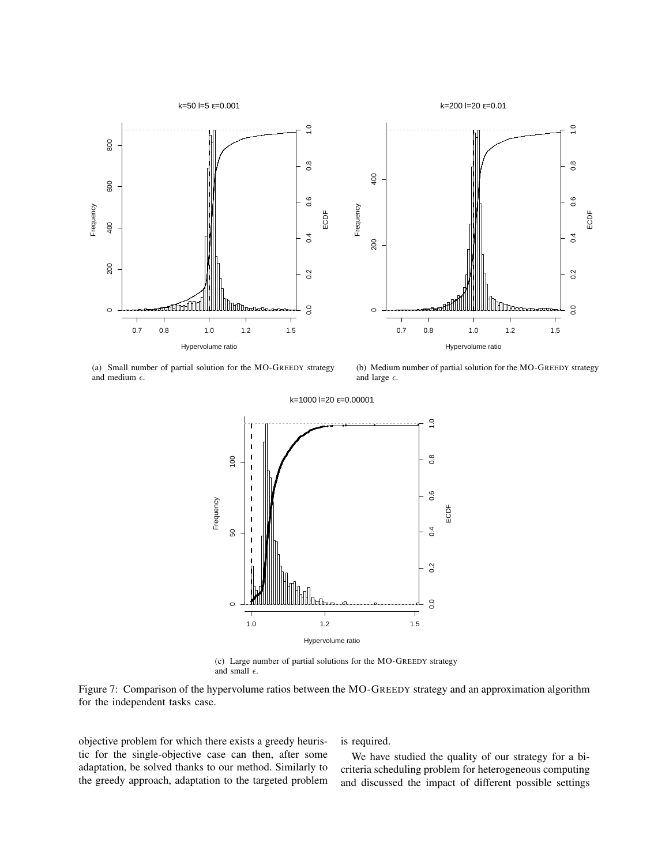



(a) Small number of partial solution for the MO-GREEDY strategy and medium  $\epsilon$ .

(b) Medium number of partial solution for the MO-GREEDY strategy and large  $\epsilon$ .



(c) Large number of partial solutions for the MO-GREEDY strategy and small  $\epsilon$ .

Figure 7: Comparison of the hypervolume ratios between the MO-GREEDY strategy and an approximation algorithm for the independent tasks case.

objective problem for which there exists a greedy heuristic for the single-objective case can then, after some adaptation, be solved thanks to our method. Similarly to the greedy approach, adaptation to the targeted problem is required.

We have studied the quality of our strategy for a bicriteria scheduling problem for heterogeneous computing and discussed the impact of different possible settings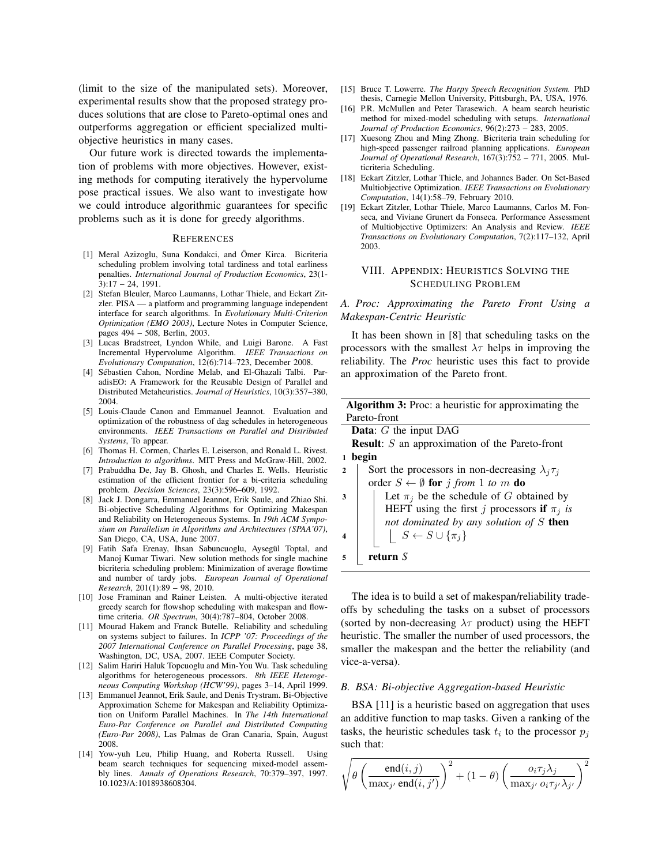(limit to the size of the manipulated sets). Moreover, experimental results show that the proposed strategy produces solutions that are close to Pareto-optimal ones and outperforms aggregation or efficient specialized multiobjective heuristics in many cases.

Our future work is directed towards the implementation of problems with more objectives. However, existing methods for computing iteratively the hypervolume pose practical issues. We also want to investigate how we could introduce algorithmic guarantees for specific problems such as it is done for greedy algorithms.

#### **REFERENCES**

- [1] Meral Azizoglu, Suna Kondakci, and Ömer Kirca. Bicriteria scheduling problem involving total tardiness and total earliness penalties. *International Journal of Production Economics*, 23(1- 3):17 – 24, 1991.
- [2] Stefan Bleuler, Marco Laumanns, Lothar Thiele, and Eckart Zitzler. PISA — a platform and programming language independent interface for search algorithms. In *Evolutionary Multi-Criterion Optimization (EMO 2003)*, Lecture Notes in Computer Science, pages 494 – 508, Berlin, 2003.
- [3] Lucas Bradstreet, Lyndon While, and Luigi Barone. A Fast Incremental Hypervolume Algorithm. *IEEE Transactions on Evolutionary Computation*, 12(6):714–723, December 2008.
- [4] Sébastien Cahon, Nordine Melab, and El-Ghazali Talbi. ParadisEO: A Framework for the Reusable Design of Parallel and Distributed Metaheuristics. *Journal of Heuristics*, 10(3):357–380, 2004.
- [5] Louis-Claude Canon and Emmanuel Jeannot. Evaluation and optimization of the robustness of dag schedules in heterogeneous environments. *IEEE Transactions on Parallel and Distributed Systems*, To appear.
- [6] Thomas H. Cormen, Charles E. Leiserson, and Ronald L. Rivest. *Introduction to algorithms*. MIT Press and McGraw-Hill, 2002.
- [7] Prabuddha De, Jay B. Ghosh, and Charles E. Wells. Heuristic estimation of the efficient frontier for a bi-criteria scheduling problem. *Decision Sciences*, 23(3):596–609, 1992.
- [8] Jack J. Dongarra, Emmanuel Jeannot, Erik Saule, and Zhiao Shi. Bi-objective Scheduling Algorithms for Optimizing Makespan and Reliability on Heterogeneous Systems. In *19th ACM Symposium on Parallelism in Algorithms and Architectures (SPAA'07)*, San Diego, CA, USA, June 2007.
- [9] Fatih Safa Erenay, Ihsan Sabuncuoglu, Aysegül Toptal, and Manoj Kumar Tiwari. New solution methods for single machine bicriteria scheduling problem: Minimization of average flowtime and number of tardy jobs. *European Journal of Operational Research*, 201(1):89 – 98, 2010.
- [10] Jose Framinan and Rainer Leisten. A multi-objective iterated greedy search for flowshop scheduling with makespan and flowtime criteria. *OR Spectrum*, 30(4):787–804, October 2008.
- [11] Mourad Hakem and Franck Butelle. Reliability and scheduling on systems subject to failures. In *ICPP '07: Proceedings of the 2007 International Conference on Parallel Processing*, page 38, Washington, DC, USA, 2007. IEEE Computer Society.
- [12] Salim Hariri Haluk Topcuoglu and Min-You Wu. Task scheduling algorithms for heterogeneous processors. *8th IEEE Heterogeneous Computing Workshop (HCW'99)*, pages 3–14, April 1999.
- [13] Emmanuel Jeannot, Erik Saule, and Denis Trystram. Bi-Objective Approximation Scheme for Makespan and Reliability Optimization on Uniform Parallel Machines. In *The 14th International Euro-Par Conference on Parallel and Distributed Computing (Euro-Par 2008)*, Las Palmas de Gran Canaria, Spain, August 2008.
- [14] Yow-yuh Leu, Philip Huang, and Roberta Russell. Using beam search techniques for sequencing mixed-model assembly lines. *Annals of Operations Research*, 70:379–397, 1997. 10.1023/A:1018938608304.
- [15] Bruce T. Lowerre. *The Harpy Speech Recognition System.* PhD thesis, Carnegie Mellon University, Pittsburgh, PA, USA, 1976.
- [16] P.R. McMullen and Peter Tarasewich. A beam search heuristic method for mixed-model scheduling with setups. *International Journal of Production Economics*, 96(2):273 – 283, 2005.
- [17] Xuesong Zhou and Ming Zhong. Bicriteria train scheduling for high-speed passenger railroad planning applications. *European Journal of Operational Research*, 167(3):752 – 771, 2005. Multicriteria Scheduling.
- [18] Eckart Zitzler, Lothar Thiele, and Johannes Bader. On Set-Based Multiobjective Optimization. *IEEE Transactions on Evolutionary Computation*, 14(1):58–79, February 2010.
- [19] Eckart Zitzler, Lothar Thiele, Marco Laumanns, Carlos M. Fonseca, and Viviane Grunert da Fonseca. Performance Assessment of Multiobjective Optimizers: An Analysis and Review. *IEEE Transactions on Evolutionary Computation*, 7(2):117–132, April 2003.

#### VIII. APPENDIX: HEURISTICS SOLVING THE SCHEDULING PROBLEM

*A. Proc: Approximating the Pareto Front Using a Makespan-Centric Heuristic*

It has been shown in [8] that scheduling tasks on the processors with the smallest  $\lambda \tau$  helps in improving the reliability. The *Proc* heuristic uses this fact to provide an approximation of the Pareto front.

| <b>Algorithm 3:</b> Proc: a heuristic for approximating the              |  |
|--------------------------------------------------------------------------|--|
| Pareto-front                                                             |  |
| <b>Data:</b> $G$ the input DAG                                           |  |
| <b>Result:</b> $S$ an approximation of the Pareto-front                  |  |
| begin<br>1                                                               |  |
| Sort the processors in non-decreasing $\lambda_i \tau_i$<br>$\mathbf{2}$ |  |
| order $S \leftarrow \emptyset$ for j from 1 to m do                      |  |
| Let $\pi_i$ be the schedule of G obtained by<br>3                        |  |
| HEFT using the first j processors if $\pi_j$ is                          |  |
| not dominated by any solution of $S$ then                                |  |
| $\left  S \leftarrow S \cup \{\pi_i\} \right $                           |  |
|                                                                          |  |
| return $S$                                                               |  |

The idea is to build a set of makespan/reliability tradeoffs by scheduling the tasks on a subset of processors (sorted by non-decreasing  $\lambda \tau$  product) using the HEFT heuristic. The smaller the number of used processors, the smaller the makespan and the better the reliability (and vice-a-versa).

#### *B. BSA: Bi-objective Aggregation-based Heuristic*

BSA [11] is a heuristic based on aggregation that uses an additive function to map tasks. Given a ranking of the tasks, the heuristic schedules task  $t_i$  to the processor  $p_j$ such that:

$$
\sqrt{\theta \left(\frac{\operatorname{end}(i,j)}{\max_{j'} \operatorname{end}(i,j')}\right)^2 + (1-\theta) \left(\frac{o_i \tau_j \lambda_j}{\max_{j'} o_i \tau_{j'} \lambda_{j'}}\right)^2}
$$